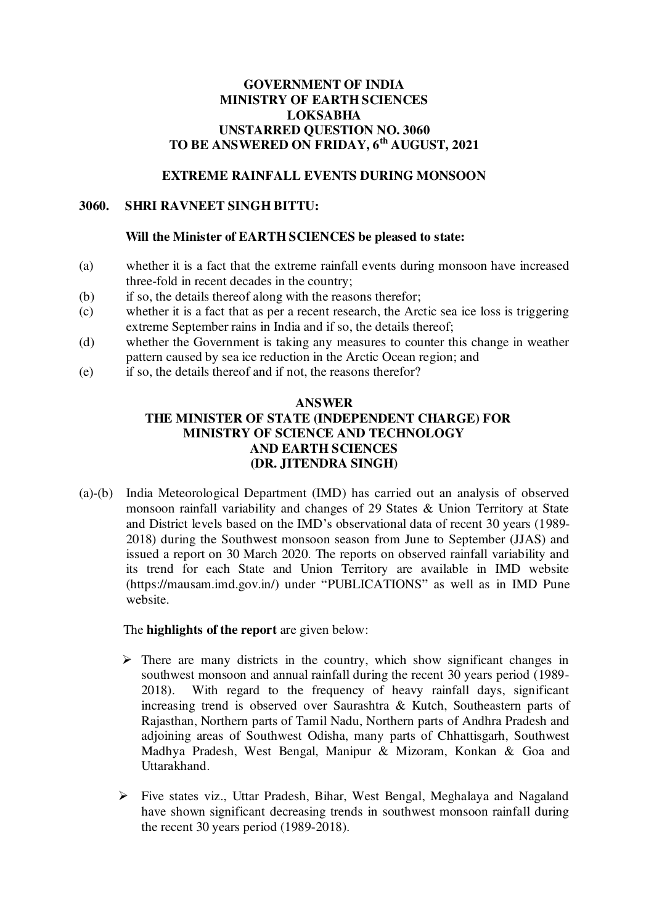### **GOVERNMENT OF INDIA MINISTRY OF EARTH SCIENCES LOKSABHA UNSTARRED QUESTION NO. 3060 TO BE ANSWERED ON FRIDAY, 6th AUGUST, 2021**

# **EXTREME RAINFALL EVENTS DURING MONSOON**

### **3060. SHRI RAVNEET SINGH BITTU:**

#### **Will the Minister of EARTH SCIENCES be pleased to state:**

- (a) whether it is a fact that the extreme rainfall events during monsoon have increased three-fold in recent decades in the country;
- (b) if so, the details thereof along with the reasons therefor;
- (c) whether it is a fact that as per a recent research, the Arctic sea ice loss is triggering extreme September rains in India and if so, the details thereof;
- (d) whether the Government is taking any measures to counter this change in weather pattern caused by sea ice reduction in the Arctic Ocean region; and
- (e) if so, the details thereof and if not, the reasons therefor?

## **ANSWER THE MINISTER OF STATE (INDEPENDENT CHARGE) FOR MINISTRY OF SCIENCE AND TECHNOLOGY AND EARTH SCIENCES (DR. JITENDRA SINGH)**

(a)-(b) India Meteorological Department (IMD) has carried out an analysis of observed monsoon rainfall variability and changes of 29 States & Union Territory at State and District levels based on the IMD's observational data of recent 30 years (1989- 2018) during the Southwest monsoon season from June to September (JJAS) and issued a report on 30 March 2020. The reports on observed rainfall variability and its trend for each State and Union Territory are available in IMD website (https://mausam.imd.gov.in/) under "PUBLICATIONS" as well as in IMD Pune website.

The **highlights of the report** are given below:

- $\triangleright$  There are many districts in the country, which show significant changes in southwest monsoon and annual rainfall during the recent 30 years period (1989- 2018). With regard to the frequency of heavy rainfall days, significant increasing trend is observed over Saurashtra & Kutch, Southeastern parts of Rajasthan, Northern parts of Tamil Nadu, Northern parts of Andhra Pradesh and adjoining areas of Southwest Odisha, many parts of Chhattisgarh, Southwest Madhya Pradesh, West Bengal, Manipur & Mizoram, Konkan & Goa and Uttarakhand.
- Five states viz., Uttar Pradesh, Bihar, West Bengal, Meghalaya and Nagaland have shown significant decreasing trends in southwest monsoon rainfall during the recent 30 years period (1989-2018).